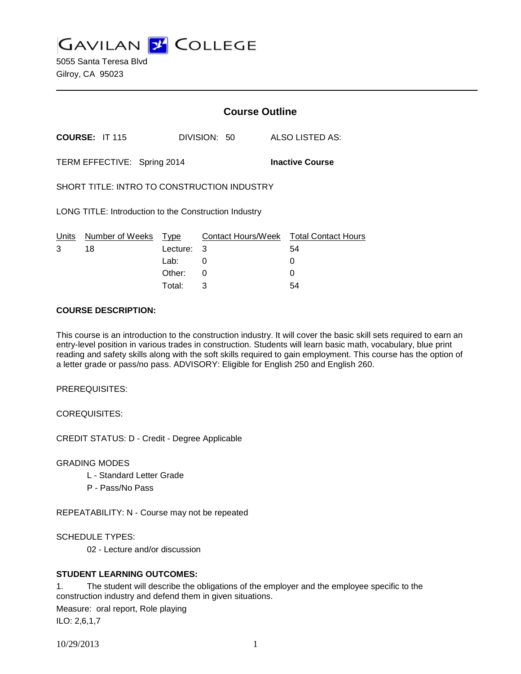**GAVILAN J COLLEGE** 

5055 Santa Teresa Blvd Gilroy, CA 95023

|                                                       |                             |          | <b>Course Outline</b> |                            |  |  |
|-------------------------------------------------------|-----------------------------|----------|-----------------------|----------------------------|--|--|
|                                                       | COURSE: IT 115              |          | DIVISION: 50          | ALSO LISTED AS:            |  |  |
|                                                       | TERM EFFECTIVE: Spring 2014 |          |                       | <b>Inactive Course</b>     |  |  |
| SHORT TITLE: INTRO TO CONSTRUCTION INDUSTRY           |                             |          |                       |                            |  |  |
| LONG TITLE: Introduction to the Construction Industry |                             |          |                       |                            |  |  |
| Units                                                 | Number of Weeks             | Type     | Contact Hours/Week    | <b>Total Contact Hours</b> |  |  |
| 3                                                     | 18                          | Lecture: | 3                     | 54                         |  |  |
|                                                       |                             | Lab:     | 0                     | 0                          |  |  |
|                                                       |                             | Other:   | 0                     |                            |  |  |

Total: 3 54

# **COURSE DESCRIPTION:**

This course is an introduction to the construction industry. It will cover the basic skill sets required to earn an entry-level position in various trades in construction. Students will learn basic math, vocabulary, blue print reading and safety skills along with the soft skills required to gain employment. This course has the option of a letter grade or pass/no pass. ADVISORY: Eligible for English 250 and English 260.

PREREQUISITES:

COREQUISITES:

CREDIT STATUS: D - Credit - Degree Applicable

GRADING MODES

- L Standard Letter Grade
- P Pass/No Pass

REPEATABILITY: N - Course may not be repeated

SCHEDULE TYPES:

02 - Lecture and/or discussion

# **STUDENT LEARNING OUTCOMES:**

1. The student will describe the obligations of the employer and the employee specific to the construction industry and defend them in given situations.

Measure: oral report, Role playing

ILO: 2,6,1,7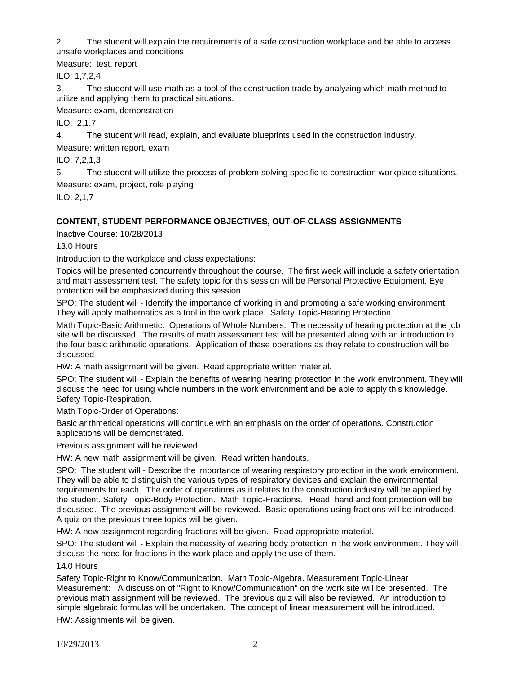2. The student will explain the requirements of a safe construction workplace and be able to access unsafe workplaces and conditions.

Measure: test, report

ILO: 1,7,2,4

3. The student will use math as a tool of the construction trade by analyzing which math method to utilize and applying them to practical situations.

Measure: exam, demonstration

ILO: 2,1,7

4. The student will read, explain, and evaluate blueprints used in the construction industry.

Measure: written report, exam

ILO: 7,2,1,3

5. The student will utilize the process of problem solving specific to construction workplace situations. Measure: exam, project, role playing

ILO: 2,1,7

# **CONTENT, STUDENT PERFORMANCE OBJECTIVES, OUT-OF-CLASS ASSIGNMENTS**

Inactive Course: 10/28/2013

13.0 Hours

Introduction to the workplace and class expectations:

Topics will be presented concurrently throughout the course. The first week will include a safety orientation and math assessment test. The safety topic for this session will be Personal Protective Equipment. Eye protection will be emphasized during this session.

SPO: The student will - Identify the importance of working in and promoting a safe working environment. They will apply mathematics as a tool in the work place. Safety Topic-Hearing Protection.

Math Topic-Basic Arithmetic. Operations of Whole Numbers. The necessity of hearing protection at the job site will be discussed. The results of math assessment test will be presented along with an introduction to the four basic arithmetic operations. Application of these operations as they relate to construction will be discussed

HW: A math assignment will be given. Read appropriate written material.

SPO: The student will - Explain the benefits of wearing hearing protection in the work environment. They will discuss the need for using whole numbers in the work environment and be able to apply this knowledge. Safety Topic-Respiration.

Math Topic-Order of Operations:

Basic arithmetical operations will continue with an emphasis on the order of operations. Construction applications will be demonstrated.

Previous assignment will be reviewed.

HW: A new math assignment will be given. Read written handouts.

SPO: The student will - Describe the importance of wearing respiratory protection in the work environment. They will be able to distinguish the various types of respiratory devices and explain the environmental requirements for each. The order of operations as it relates to the construction industry will be applied by the student. Safety Topic-Body Protection. Math Topic-Fractions. Head, hand and foot protection will be discussed. The previous assignment will be reviewed. Basic operations using fractions will be introduced. A quiz on the previous three topics will be given.

HW: A new assignment regarding fractions will be given. Read appropriate material.

SPO: The student will - Explain the necessity of wearing body protection in the work environment. They will discuss the need for fractions in the work place and apply the use of them.

14.0 Hours

Safety Topic-Right to Know/Communication. Math Topic-Algebra. Measurement Topic-Linear Measurement: A discussion of "Right to Know/Communication" on the work site will be presented. The previous math assignment will be reviewed. The previous quiz will also be reviewed. An introduction to simple algebraic formulas will be undertaken. The concept of linear measurement will be introduced. HW: Assignments will be given.

10/29/2013 2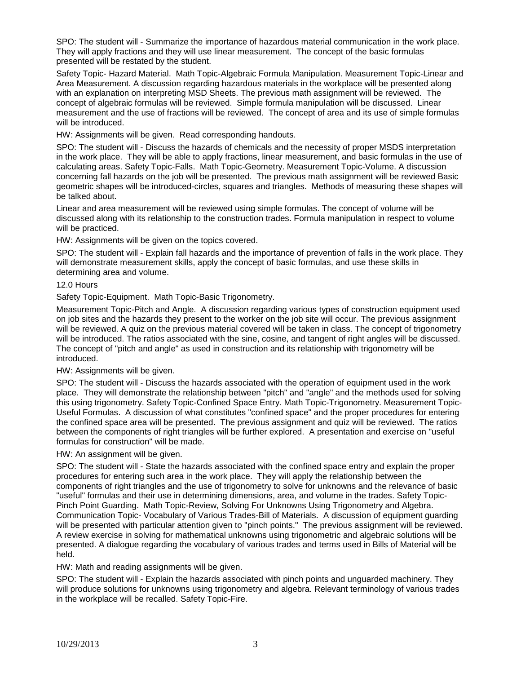SPO: The student will - Summarize the importance of hazardous material communication in the work place. They will apply fractions and they will use linear measurement. The concept of the basic formulas presented will be restated by the student.

Safety Topic- Hazard Material. Math Topic-Algebraic Formula Manipulation. Measurement Topic-Linear and Area Measurement. A discussion regarding hazardous materials in the workplace will be presented along with an explanation on interpreting MSD Sheets. The previous math assignment will be reviewed. The concept of algebraic formulas will be reviewed. Simple formula manipulation will be discussed. Linear measurement and the use of fractions will be reviewed. The concept of area and its use of simple formulas will be introduced.

HW: Assignments will be given. Read corresponding handouts.

SPO: The student will - Discuss the hazards of chemicals and the necessity of proper MSDS interpretation in the work place. They will be able to apply fractions, linear measurement, and basic formulas in the use of calculating areas. Safety Topic-Falls. Math Topic-Geometry. Measurement Topic-Volume. A discussion concerning fall hazards on the job will be presented. The previous math assignment will be reviewed Basic geometric shapes will be introduced-circles, squares and triangles. Methods of measuring these shapes will be talked about.

Linear and area measurement will be reviewed using simple formulas. The concept of volume will be discussed along with its relationship to the construction trades. Formula manipulation in respect to volume will be practiced.

HW: Assignments will be given on the topics covered.

SPO: The student will - Explain fall hazards and the importance of prevention of falls in the work place. They will demonstrate measurement skills, apply the concept of basic formulas, and use these skills in determining area and volume.

### 12.0 Hours

Safety Topic-Equipment. Math Topic-Basic Trigonometry.

Measurement Topic-Pitch and Angle. A discussion regarding various types of construction equipment used on job sites and the hazards they present to the worker on the job site will occur. The previous assignment will be reviewed. A quiz on the previous material covered will be taken in class. The concept of trigonometry will be introduced. The ratios associated with the sine, cosine, and tangent of right angles will be discussed. The concept of "pitch and angle" as used in construction and its relationship with trigonometry will be introduced.

#### HW: Assignments will be given.

SPO: The student will - Discuss the hazards associated with the operation of equipment used in the work place. They will demonstrate the relationship between "pitch" and "angle" and the methods used for solving this using trigonometry. Safety Topic-Confined Space Entry. Math Topic-Trigonometry. Measurement Topic-Useful Formulas. A discussion of what constitutes "confined space" and the proper procedures for entering the confined space area will be presented. The previous assignment and quiz will be reviewed. The ratios between the components of right triangles will be further explored. A presentation and exercise on "useful formulas for construction" will be made.

HW: An assignment will be given.

SPO: The student will - State the hazards associated with the confined space entry and explain the proper procedures for entering such area in the work place. They will apply the relationship between the components of right triangles and the use of trigonometry to solve for unknowns and the relevance of basic "useful" formulas and their use in determining dimensions, area, and volume in the trades. Safety Topic-Pinch Point Guarding. Math Topic-Review, Solving For Unknowns Using Trigonometry and Algebra. Communication Topic- Vocabulary of Various Trades-Bill of Materials. A discussion of equipment guarding will be presented with particular attention given to "pinch points." The previous assignment will be reviewed. A review exercise in solving for mathematical unknowns using trigonometric and algebraic solutions will be presented. A dialogue regarding the vocabulary of various trades and terms used in Bills of Material will be held.

HW: Math and reading assignments will be given.

SPO: The student will - Explain the hazards associated with pinch points and unguarded machinery. They will produce solutions for unknowns using trigonometry and algebra. Relevant terminology of various trades in the workplace will be recalled. Safety Topic-Fire.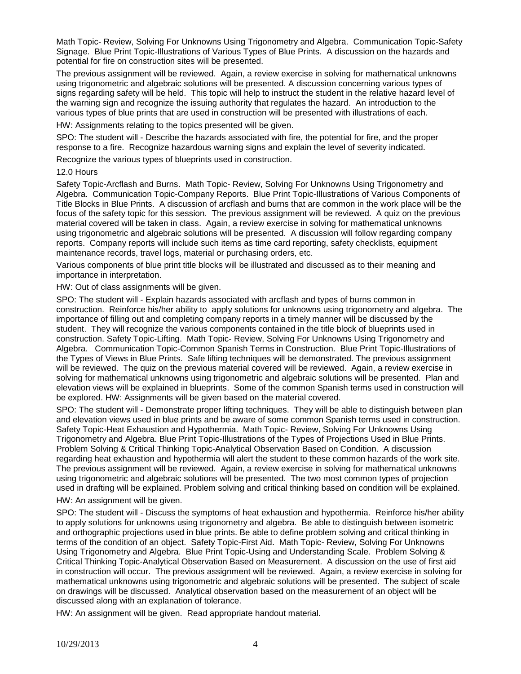Math Topic- Review, Solving For Unknowns Using Trigonometry and Algebra. Communication Topic-Safety Signage. Blue Print Topic-Illustrations of Various Types of Blue Prints. A discussion on the hazards and potential for fire on construction sites will be presented.

The previous assignment will be reviewed. Again, a review exercise in solving for mathematical unknowns using trigonometric and algebraic solutions will be presented. A discussion concerning various types of signs regarding safety will be held. This topic will help to instruct the student in the relative hazard level of the warning sign and recognize the issuing authority that regulates the hazard. An introduction to the various types of blue prints that are used in construction will be presented with illustrations of each.

HW: Assignments relating to the topics presented will be given.

SPO: The student will - Describe the hazards associated with fire, the potential for fire, and the proper response to a fire. Recognize hazardous warning signs and explain the level of severity indicated.

Recognize the various types of blueprints used in construction.

#### 12.0 Hours

Safety Topic-Arcflash and Burns. Math Topic- Review, Solving For Unknowns Using Trigonometry and Algebra. Communication Topic-Company Reports. Blue Print Topic-Illustrations of Various Components of Title Blocks in Blue Prints. A discussion of arcflash and burns that are common in the work place will be the focus of the safety topic for this session. The previous assignment will be reviewed. A quiz on the previous material covered will be taken in class. Again, a review exercise in solving for mathematical unknowns using trigonometric and algebraic solutions will be presented. A discussion will follow regarding company reports. Company reports will include such items as time card reporting, safety checklists, equipment maintenance records, travel logs, material or purchasing orders, etc.

Various components of blue print title blocks will be illustrated and discussed as to their meaning and importance in interpretation.

HW: Out of class assignments will be given.

SPO: The student will - Explain hazards associated with arcflash and types of burns common in construction. Reinforce his/her ability to apply solutions for unknowns using trigonometry and algebra. The importance of filling out and completing company reports in a timely manner will be discussed by the student. They will recognize the various components contained in the title block of blueprints used in construction. Safety Topic-Lifting. Math Topic- Review, Solving For Unknowns Using Trigonometry and Algebra. Communication Topic-Common Spanish Terms in Construction. Blue Print Topic-Illustrations of the Types of Views in Blue Prints. Safe lifting techniques will be demonstrated. The previous assignment will be reviewed. The quiz on the previous material covered will be reviewed. Again, a review exercise in solving for mathematical unknowns using trigonometric and algebraic solutions will be presented. Plan and elevation views will be explained in blueprints. Some of the common Spanish terms used in construction will be explored. HW: Assignments will be given based on the material covered.

SPO: The student will - Demonstrate proper lifting techniques. They will be able to distinguish between plan and elevation views used in blue prints and be aware of some common Spanish terms used in construction. Safety Topic-Heat Exhaustion and Hypothermia. Math Topic- Review, Solving For Unknowns Using Trigonometry and Algebra. Blue Print Topic-Illustrations of the Types of Projections Used in Blue Prints. Problem Solving & Critical Thinking Topic-Analytical Observation Based on Condition. A discussion regarding heat exhaustion and hypothermia will alert the student to these common hazards of the work site. The previous assignment will be reviewed. Again, a review exercise in solving for mathematical unknowns using trigonometric and algebraic solutions will be presented. The two most common types of projection used in drafting will be explained. Problem solving and critical thinking based on condition will be explained.

#### HW: An assignment will be given.

SPO: The student will - Discuss the symptoms of heat exhaustion and hypothermia. Reinforce his/her ability to apply solutions for unknowns using trigonometry and algebra. Be able to distinguish between isometric and orthographic projections used in blue prints. Be able to define problem solving and critical thinking in terms of the condition of an object. Safety Topic-First Aid. Math Topic- Review, Solving For Unknowns Using Trigonometry and Algebra. Blue Print Topic-Using and Understanding Scale. Problem Solving & Critical Thinking Topic-Analytical Observation Based on Measurement. A discussion on the use of first aid in construction will occur. The previous assignment will be reviewed. Again, a review exercise in solving for mathematical unknowns using trigonometric and algebraic solutions will be presented. The subject of scale on drawings will be discussed. Analytical observation based on the measurement of an object will be discussed along with an explanation of tolerance.

HW: An assignment will be given. Read appropriate handout material.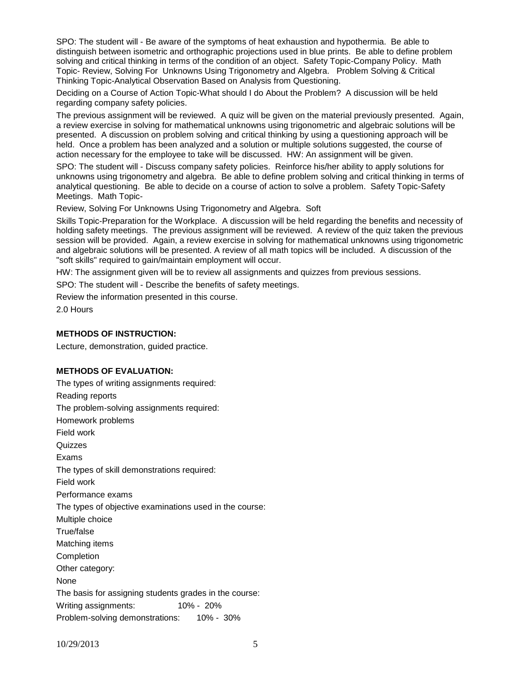SPO: The student will - Be aware of the symptoms of heat exhaustion and hypothermia. Be able to distinguish between isometric and orthographic projections used in blue prints. Be able to define problem solving and critical thinking in terms of the condition of an object. Safety Topic-Company Policy. Math Topic- Review, Solving For Unknowns Using Trigonometry and Algebra. Problem Solving & Critical Thinking Topic-Analytical Observation Based on Analysis from Questioning.

Deciding on a Course of Action Topic-What should I do About the Problem? A discussion will be held regarding company safety policies.

The previous assignment will be reviewed. A quiz will be given on the material previously presented. Again, a review exercise in solving for mathematical unknowns using trigonometric and algebraic solutions will be presented. A discussion on problem solving and critical thinking by using a questioning approach will be held. Once a problem has been analyzed and a solution or multiple solutions suggested, the course of action necessary for the employee to take will be discussed. HW: An assignment will be given.

SPO: The student will - Discuss company safety policies. Reinforce his/her ability to apply solutions for unknowns using trigonometry and algebra. Be able to define problem solving and critical thinking in terms of analytical questioning. Be able to decide on a course of action to solve a problem. Safety Topic-Safety Meetings. Math Topic-

Review, Solving For Unknowns Using Trigonometry and Algebra. Soft

Skills Topic-Preparation for the Workplace. A discussion will be held regarding the benefits and necessity of holding safety meetings. The previous assignment will be reviewed. A review of the quiz taken the previous session will be provided. Again, a review exercise in solving for mathematical unknowns using trigonometric and algebraic solutions will be presented. A review of all math topics will be included. A discussion of the "soft skills" required to gain/maintain employment will occur.

HW: The assignment given will be to review all assignments and quizzes from previous sessions.

SPO: The student will - Describe the benefits of safety meetings.

Review the information presented in this course.

2.0 Hours

### **METHODS OF INSTRUCTION:**

Lecture, demonstration, guided practice.

#### **METHODS OF EVALUATION:**

The types of writing assignments required: Reading reports The problem-solving assignments required: Homework problems Field work Quizzes Exams The types of skill demonstrations required: Field work Performance exams The types of objective examinations used in the course: Multiple choice True/false Matching items Completion Other category: None The basis for assigning students grades in the course: Writing assignments: 10% - 20% Problem-solving demonstrations: 10% - 30%